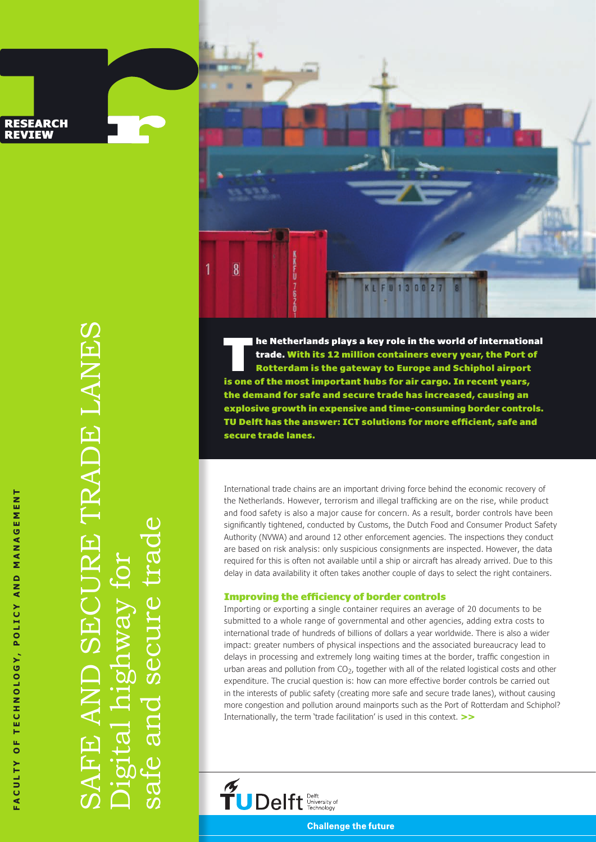FACULTY OF TECHNOLOGY, POLICY AND MANAGEMENT **faculty of technology, policy and management**

**RESEARCH REVIEW** 

> SAFE AND SECURE TRADE LANES CURE TRADE LANES Digital highway for  $\frac{1}{2}$ IgI  $\overline{\mathcal{C}}$  $\overline{\text{d}}$

safe and secure trade

SCI

and

 $\overline{C}$ 

 $\varpi$ 

 $\overline{8}$ 

1

The Netherlands plays a key role in the world of international<br>trade. With its 12 million containers every year, the Port of<br>Rotterdam is the gateway to Europe and Schiphol airport trade. With its 12 million containers every year, the Port of Rotterdam is the gateway to Europe and Schiphol airport is one of the most important hubs for air cargo. In recent years, the demand for safe and secure trade has increased, causing an explosive growth in expensive and time-consuming border controls. TU Delft has the answer: ICT solutions for more efficient, safe and secure trade lanes.

KL FU 130027

International trade chains are an important driving force behind the economic recovery of the Netherlands. However, terrorism and illegal trafficking are on the rise, while product and food safety is also a major cause for concern. As a result, border controls have been significantly tightened, conducted by Customs, the Dutch Food and Consumer Product Safety Authority (NVWA) and around 12 other enforcement agencies. The inspections they conduct are based on risk analysis: only suspicious consignments are inspected. However, the data required for this is often not available until a ship or aircraft has already arrived. Due to this delay in data availability it often takes another couple of days to select the right containers.

#### Improving the efficiency of border controls

Importing or exporting a single container requires an average of 20 documents to be submitted to a whole range of governmental and other agencies, adding extra costs to international trade of hundreds of billions of dollars a year worldwide. There is also a wider impact: greater numbers of physical inspections and the associated bureaucracy lead to delays in processing and extremely long waiting times at the border, traffic congestion in urban areas and pollution from  $CO<sub>2</sub>$ , together with all of the related logistical costs and other expenditure. The crucial question is: how can more effective border controls be carried out in the interests of public safety (creating more safe and secure trade lanes), without causing more congestion and pollution around mainports such as the Port of Rotterdam and Schiphol? Internationally, the term 'trade facilitation' is used in this context. >>

 $\widetilde{\mathbf{T}}$ U Delft  $\frac{\text{Deff}_{\text{University of}}}{\text{Technology}}$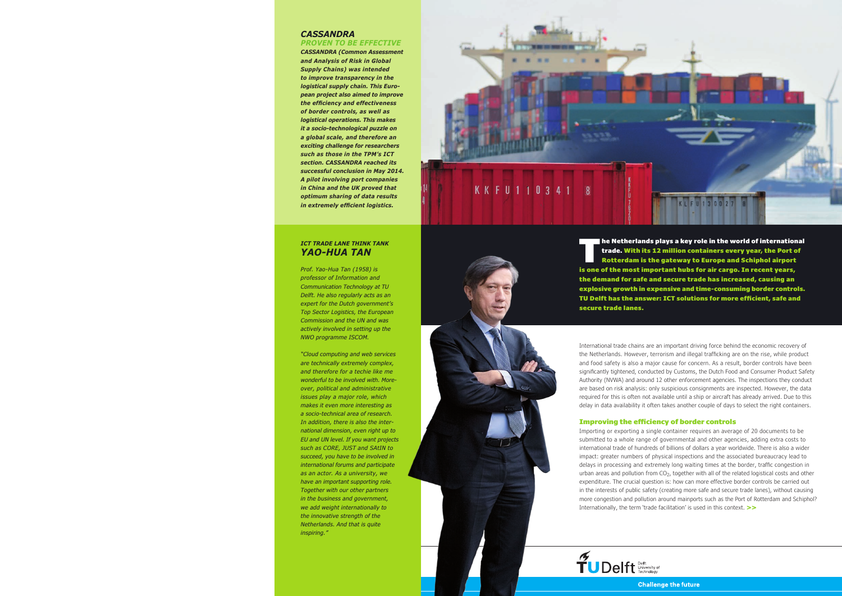## **CASSANDRA**

**proven to be effective CASSANDRA (Common Assessment and Analysis of Risk in Global Supply Chains) was intended to improve transparency in the logistical supply chain. This European project also aimed to improve the efficiency and effectiveness of border controls, as well as logistical operations. This makes it a socio-technological puzzle on a global scale, and therefore an exciting challenge for researchers such as those in the TPM's ICT section. CASSANDRA reached its successful conclusion in May 2014. A pilot involving port companies in China and the UK proved that optimum sharing of data results in extremely efficient logistics.**

## **ICT trade lane think tank Yao-Hua Tan**

Prof. Yao-Hua Tan (1958) is professor of Information and Communication Technology at TU Delft. He also regularly acts as an expert for the Dutch government's Top Sector Logistics, the European Commission and the UN and was actively involved in setting up the NWO programme ISCOM.

"Cloud computing and web services are technically extremely complex, and therefore for a techie like me wonderful to be involved with. Moreover, political and administrative issues play a major role, which makes it even more interesting as a socio-technical area of research. In addition, there is also the international dimension, even right up to EU and UN level. If you want projects such as CORE, JUST and SAtIN to succeed, you have to be involved in international forums and participate as an actor. As a university, we have an important supporting role. Together with our other partners in the business and government, we add weight internationally to the innovative strength of the Netherlands. And that is quite inspiring."



The Netherlands plays a key role in the world of international<br>trade. With its 12 million containers every year, the Port of<br>Rotterdam is the gateway to Europe and Schiphol airport trade. With its 12 million containers every year, the Port of Rotterdam is the gateway to Europe and Schiphol airport is one of the most important hubs for air cargo. In recent years, the demand for safe and secure trade has increased, causing an explosive growth in expensive and time-consuming border controls. TU Delft has the answer: ICT solutions for more efficient, safe and secure trade lanes.

International trade chains are an important driving force behind the economic recovery of the Netherlands. However, terrorism and illegal trafficking are on the rise, while product and food safety is also a major cause for concern. As a result, border controls have been significantly tightened, conducted by Customs, the Dutch Food and Consumer Product Safety Authority (NVWA) and around 12 other enforcement agencies. The inspections they conduct are based on risk analysis: only suspicious consignments are inspected. However, the data required for this is often not available until a ship or aircraft has already arrived. Due to this delay in data availability it often takes another couple of days to select the right containers.

#### Improving the efficiency of border controls

Importing or exporting a single container requires an average of 20 documents to be submitted to a whole range of governmental and other agencies, adding extra costs to international trade of hundreds of billions of dollars a year worldwide. There is also a wider impact: greater numbers of physical inspections and the associated bureaucracy lead to delays in processing and extremely long waiting times at the border, traffic congestion in urban areas and pollution from  $CO<sub>2</sub>$ , together with all of the related logistical costs and other expenditure. The crucial question is: how can more effective border controls be carried out in the interests of public safety (creating more safe and secure trade lanes), without causing more congestion and pollution around mainports such as the Port of Rotterdam and Schiphol? Internationally, the term 'trade facilitation' is used in this context. >>